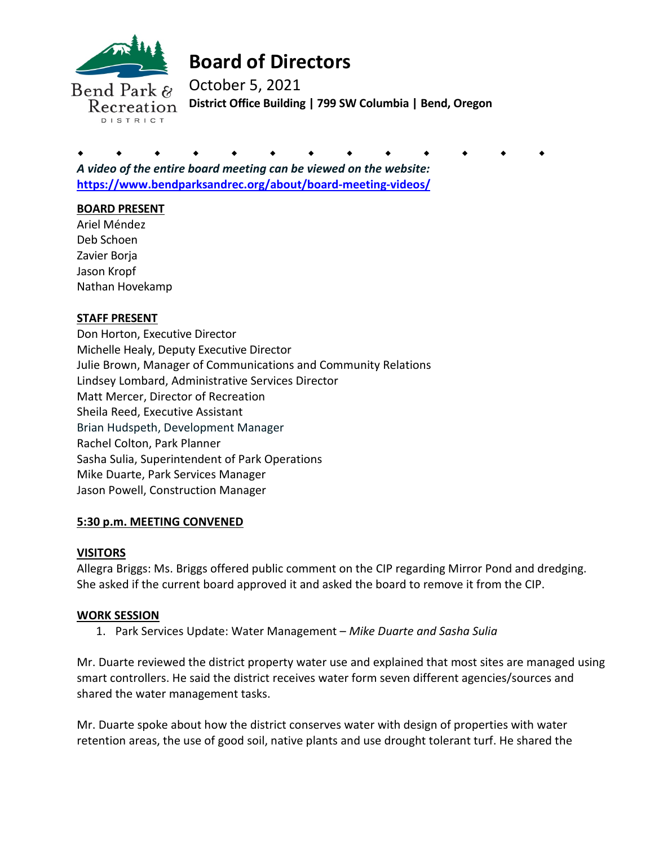

# **Board of Directors**

October 5, 2021 **District Office Building | 799 SW Columbia | Bend, Oregon** 

. . . . . . . . . . . . . *A video of the entire board meeting can be viewed on the website:*  **https://www.bendparksandrec.org/about/board-meeting-videos/**

## **BOARD PRESENT**

Ariel Méndez Deb Schoen Zavier Borja Jason Kropf Nathan Hovekamp

# **STAFF PRESENT**

Don Horton, Executive Director Michelle Healy, Deputy Executive Director Julie Brown, Manager of Communications and Community Relations Lindsey Lombard, Administrative Services Director Matt Mercer, Director of Recreation Sheila Reed, Executive Assistant Brian Hudspeth, Development Manager Rachel Colton, Park Planner Sasha Sulia, Superintendent of Park Operations Mike Duarte, Park Services Manager Jason Powell, Construction Manager

#### **5:30 p.m. MEETING CONVENED**

#### **VISITORS**

Allegra Briggs: Ms. Briggs offered public comment on the CIP regarding Mirror Pond and dredging. She asked if the current board approved it and asked the board to remove it from the CIP.

#### **WORK SESSION**

1. Park Services Update: Water Management – *Mike Duarte and Sasha Sulia* 

Mr. Duarte reviewed the district property water use and explained that most sites are managed using smart controllers. He said the district receives water form seven different agencies/sources and shared the water management tasks.

Mr. Duarte spoke about how the district conserves water with design of properties with water retention areas, the use of good soil, native plants and use drought tolerant turf. He shared the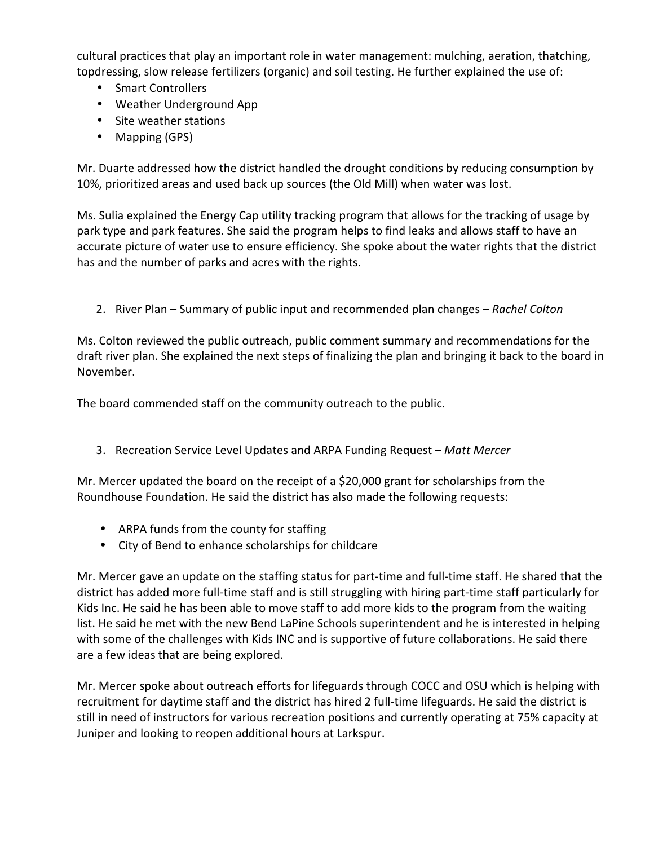cultural practices that play an important role in water management: mulching, aeration, thatching, topdressing, slow release fertilizers (organic) and soil testing. He further explained the use of:

- Smart Controllers
- Weather Underground App
- Site weather stations
- Mapping (GPS)

Mr. Duarte addressed how the district handled the drought conditions by reducing consumption by 10%, prioritized areas and used back up sources (the Old Mill) when water was lost.

Ms. Sulia explained the Energy Cap utility tracking program that allows for the tracking of usage by park type and park features. She said the program helps to find leaks and allows staff to have an accurate picture of water use to ensure efficiency. She spoke about the water rights that the district has and the number of parks and acres with the rights.

2. River Plan – Summary of public input and recommended plan changes – *Rachel Colton* 

Ms. Colton reviewed the public outreach, public comment summary and recommendations for the draft river plan. She explained the next steps of finalizing the plan and bringing it back to the board in November.

The board commended staff on the community outreach to the public.

3. Recreation Service Level Updates and ARPA Funding Request – *Matt Mercer*

Mr. Mercer updated the board on the receipt of a \$20,000 grant for scholarships from the Roundhouse Foundation. He said the district has also made the following requests:

- ARPA funds from the county for staffing
- City of Bend to enhance scholarships for childcare

Mr. Mercer gave an update on the staffing status for part-time and full-time staff. He shared that the district has added more full-time staff and is still struggling with hiring part-time staff particularly for Kids Inc. He said he has been able to move staff to add more kids to the program from the waiting list. He said he met with the new Bend LaPine Schools superintendent and he is interested in helping with some of the challenges with Kids INC and is supportive of future collaborations. He said there are a few ideas that are being explored.

Mr. Mercer spoke about outreach efforts for lifeguards through COCC and OSU which is helping with recruitment for daytime staff and the district has hired 2 full-time lifeguards. He said the district is still in need of instructors for various recreation positions and currently operating at 75% capacity at Juniper and looking to reopen additional hours at Larkspur.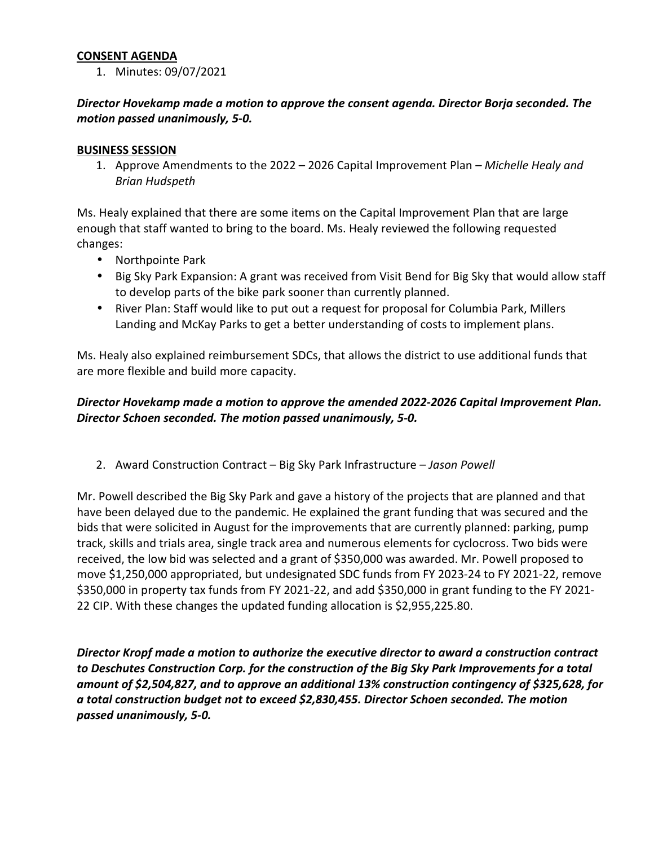#### **CONSENT AGENDA**

1. Minutes: 09/07/2021

## *Director Hovekamp made a motion to approve the consent agenda. Director Borja seconded. The motion passed unanimously, 5-0.*

#### **BUSINESS SESSION**

1. Approve Amendments to the 2022 – 2026 Capital Improvement Plan *– Michelle Healy and Brian Hudspeth* 

Ms. Healy explained that there are some items on the Capital Improvement Plan that are large enough that staff wanted to bring to the board. Ms. Healy reviewed the following requested changes:

- Northpointe Park
- Big Sky Park Expansion: A grant was received from Visit Bend for Big Sky that would allow staff to develop parts of the bike park sooner than currently planned.
- River Plan: Staff would like to put out a request for proposal for Columbia Park, Millers Landing and McKay Parks to get a better understanding of costs to implement plans.

Ms. Healy also explained reimbursement SDCs, that allows the district to use additional funds that are more flexible and build more capacity.

## *Director Hovekamp made a motion to approve the amended 2022-2026 Capital Improvement Plan. Director Schoen seconded. The motion passed unanimously, 5-0.*

2. Award Construction Contract – Big Sky Park Infrastructure *– Jason Powell* 

Mr. Powell described the Big Sky Park and gave a history of the projects that are planned and that have been delayed due to the pandemic. He explained the grant funding that was secured and the bids that were solicited in August for the improvements that are currently planned: parking, pump track, skills and trials area, single track area and numerous elements for cyclocross. Two bids were received, the low bid was selected and a grant of \$350,000 was awarded. Mr. Powell proposed to move \$1,250,000 appropriated, but undesignated SDC funds from FY 2023-24 to FY 2021-22, remove \$350,000 in property tax funds from FY 2021-22, and add \$350,000 in grant funding to the FY 2021- 22 CIP. With these changes the updated funding allocation is \$2,955,225.80.

*Director Kropf made a motion to authorize the executive director to award a construction contract to Deschutes Construction Corp. for the construction of the Big Sky Park Improvements for a total amount of \$2,504,827, and to approve an additional 13% construction contingency of \$325,628, for a total construction budget not to exceed \$2,830,455. Director Schoen seconded. The motion passed unanimously, 5-0.*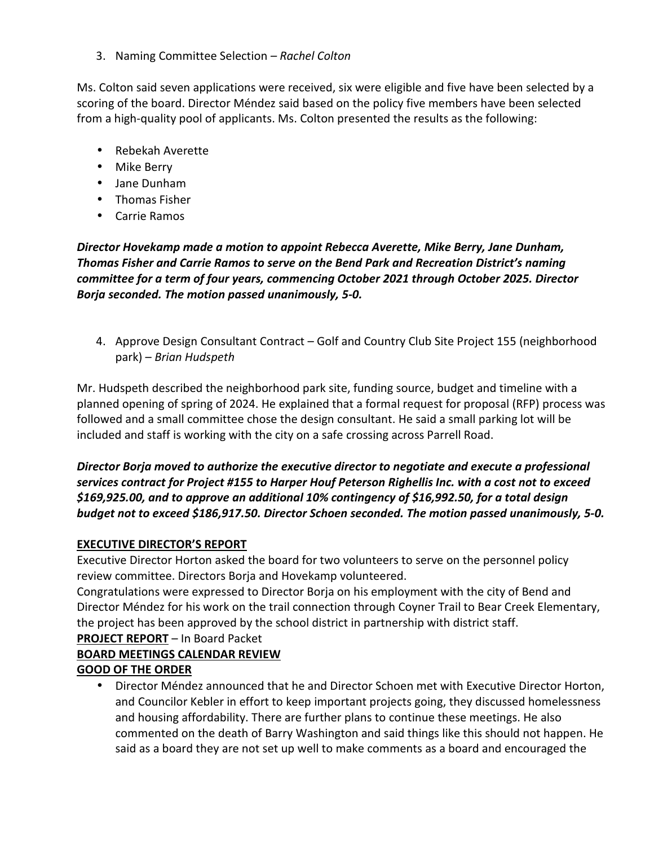3. Naming Committee Selection *– Rachel Colton* 

Ms. Colton said seven applications were received, six were eligible and five have been selected by a scoring of the board. Director Méndez said based on the policy five members have been selected from a high-quality pool of applicants. Ms. Colton presented the results as the following:

- Rebekah Averette
- Mike Berry
- Jane Dunham
- Thomas Fisher
- Carrie Ramos

*Director Hovekamp made a motion to appoint Rebecca Averette, Mike Berry, Jane Dunham, Thomas Fisher and Carrie Ramos to serve on the Bend Park and Recreation District's naming committee for a term of four years, commencing October 2021 through October 2025. Director Borja seconded. The motion passed unanimously, 5-0.*

4. Approve Design Consultant Contract – Golf and Country Club Site Project 155 (neighborhood park) – *Brian Hudspeth*

Mr. Hudspeth described the neighborhood park site, funding source, budget and timeline with a planned opening of spring of 2024. He explained that a formal request for proposal (RFP) process was followed and a small committee chose the design consultant. He said a small parking lot will be included and staff is working with the city on a safe crossing across Parrell Road.

# *Director Borja moved to authorize the executive director to negotiate and execute a professional services contract for Project #155 to Harper Houf Peterson Righellis Inc. with a cost not to exceed \$169,925.00, and to approve an additional 10% contingency of \$16,992.50, for a total design budget not to exceed \$186,917.50. Director Schoen seconded. The motion passed unanimously, 5-0.*

#### **EXECUTIVE DIRECTOR'S REPORT**

Executive Director Horton asked the board for two volunteers to serve on the personnel policy review committee. Directors Borja and Hovekamp volunteered.

Congratulations were expressed to Director Borja on his employment with the city of Bend and Director Méndez for his work on the trail connection through Coyner Trail to Bear Creek Elementary, the project has been approved by the school district in partnership with district staff. **PROJECT REPORT** – In Board Packet

# **BOARD MEETINGS CALENDAR REVIEW GOOD OF THE ORDER**

• Director Méndez announced that he and Director Schoen met with Executive Director Horton, and Councilor Kebler in effort to keep important projects going, they discussed homelessness and housing affordability. There are further plans to continue these meetings. He also commented on the death of Barry Washington and said things like this should not happen. He said as a board they are not set up well to make comments as a board and encouraged the